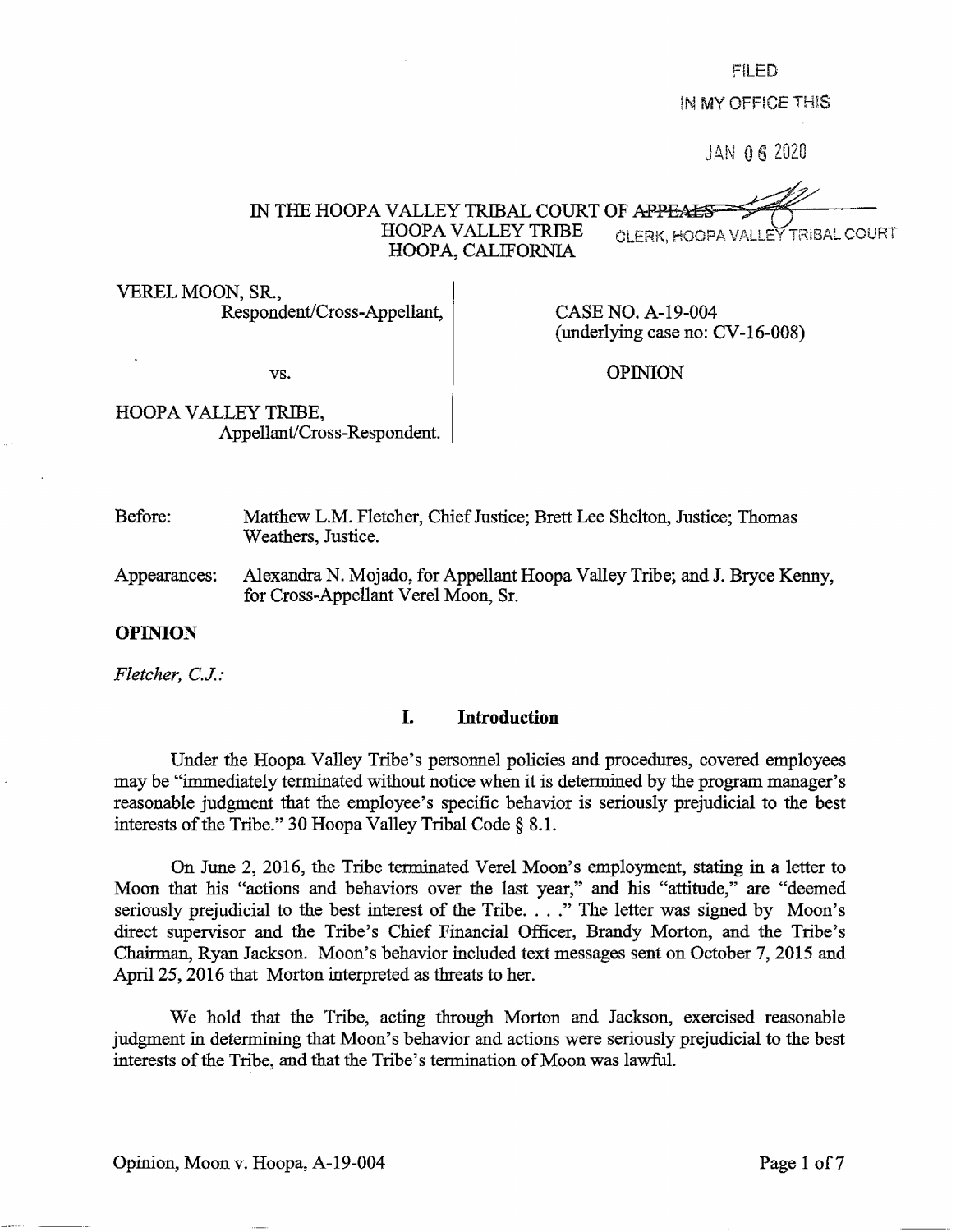FILED

!N MY OFFICE TH!S

JAN 06 2020

IN THE HOOPA VALLEY TRIBAL COURT OF APPEAL HOOPA VALLEY TRIBE CLERK, HOOPA VALLEY TRIBAL COURT HOOPA, CALIFORNIA

VEREL MOON, SR., Respondent/Cross-Appellant,

CASE NO. A-19-004 (underlying case no: CV-16-008)

vs.

OPINION

HOOPA VALLEY TRIBE, Appellant/Cross-Respondent.

Before: Matthew L.M. Fletcher, Chief Justice; Brett Lee Shelton, Justice; Thomas Weathers, Justice.

Appearances: Alexandra N. Mojado, for Appellant Hoopa Valley Tribe; and J. Bryce Kenny, for Cross-Appellant Verel Moon, Sr.

## **OPINION**

*Fletcher, C.J.:* 

#### **I. Introduction**

Under the Hoopa Valley Tribe's personnel policies and procedures, covered employees may be "immediately tenninated without notice when it is determined by the program manager's reasonable judgment that the employee's specific behavior is seriously prejudicial to the best interests of the Tribe." 30 Hoopa Valley Tribal Code § 8.1.

On June 2, 2016, the Tribe terminated Verel Moon's employment, stating in a letter to Moon that his "actions and behaviors over the last year," and his "attitude," are "deemed seriously prejudicial to the best interest of the Tribe. . . ." The letter was signed by Moon's direct supervisor and the Tribe's Chief Financial Officer, Brandy Morton, and the Tribe's Chairman, Ryan Jackson. Moon's behavior included text messages sent on October 7, 2015 and April 25, 2016 that Morton interpreted as threats to her.

We hold that the Tribe, acting through Morton and Jackson, exercised reasonable judgment in determining that Moon's behavior and actions were seriously prejudicial to the best interests of the Tribe, and that the Tribe's termination of Moon was lawful.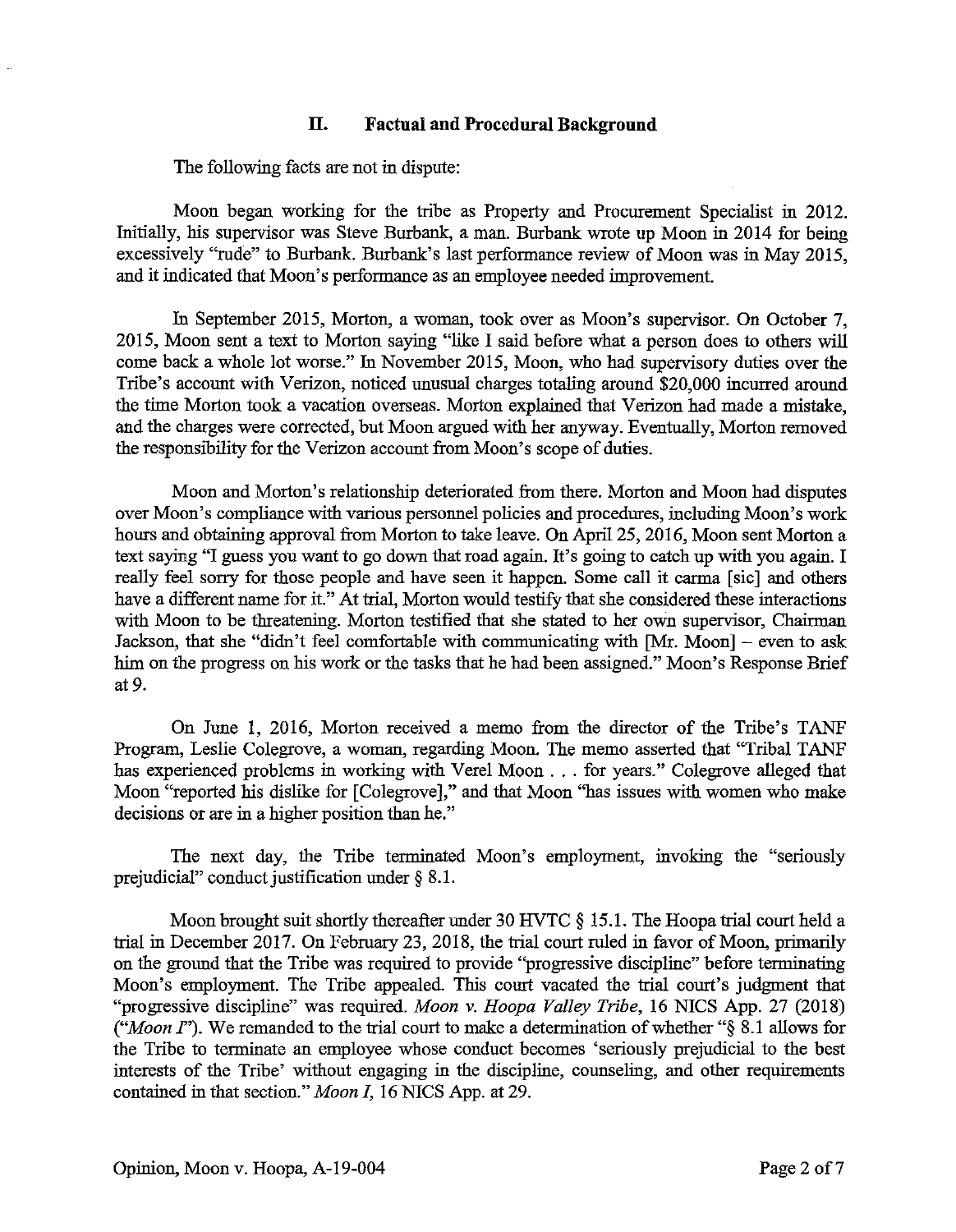# **II. Factual and Procedural Background**

The following facts are not in dispute:

Moon began working for the tribe as Property and Procurement Specialist in 2012. Initially, his supervisor was Steve Burbank, a man. Burbank wrote up Moon in 2014 for being excessively "rude" to Burbank. Burbank's last performance review of Moon was in May 2015, and it indicated that Moon's performance as an employee needed improvement.

In September 2015, Morton, a woman, took over as Moon's supervisor. On October 7, 2015, Moon sent a text to Morton saying "like I said before what a person does to others will come back a whole lot worse." In November 2015, Moon, who had supervisory duties over the Tribe's account with Verizon, noticed unusual charges totaling around \$20,000 incurred around the time Morton took a vacation overseas. Morton explained that Verizon had made a mistake, and the charges were corrected, but Moon argued with her anyway. Eventually, Morton removed the responsibility for the Verizon account from Moon's scope of duties.

Moon and Morton's relationship deteriorated from there. Morton and Moon had disputes over Moon's compliance with various personnel policies and procedures, including Moon's work hours and obtaining approval from Morton to take leave. On April 25, 2016, Moon sent Morton a text saying "I guess you want to go down that road again. It's going to catch up with you again. I really feel sorry for those people and have seen it happen. Some call it carma [sic] and others have a different name for it." At trial, Morton would testify that she considered these interactions with Moon to be threatening. Morton testified that she stated to her own supervisor, Chairman Jackson, that she "didn't feel comfortable with communicating with  $[Mr. Moon]$  – even to ask him on the progress on his work or the tasks that he had been assigned." Moon's Response Brief at 9.

On June 1, 2016, Morton received a memo from the director of the Tribe's TANF Program, Leslie Colegrove, a woman, regarding Moon. The memo asserted that "Tribal TANF has experienced problems in working with Vere! Moon ... for years." Colegrove alleged that Moon "reported his dislike for [Colegrove]," and that Moon "has issues with women who make decisions or are in a higher position than he."

The next day, the Tribe terminated Moon's employment, invoking the "seriously prejudicial" conduct justification under § 8.1.

Moon brought suit shortly thereafter under 30 HVTC § 15.1. The Hoopa trial court held a trial in December 2017. On February 23, 2018, the trial court ruled in favor of Moon, primarily on the ground that the Tribe was required to provide "progressive discipline" before terminating Moon's employment. The Tribe appealed. This court vacated the trial court's judgment that "progressive discipline" was required. *Moon v. Hoopa Valley Tribe,* 16 NICS App. 27 (2018) *("Moon I"*). We remanded to the trial court to make a determination of whether "§ 8.1 allows for the Tribe to terminate an employee whose conduct becomes 'seriously prejudicial to the best interests of the Tribe' without engaging in the discipline, counseling, and other requirements contained in that section." *Moon I,* 16 NICS App. at 29.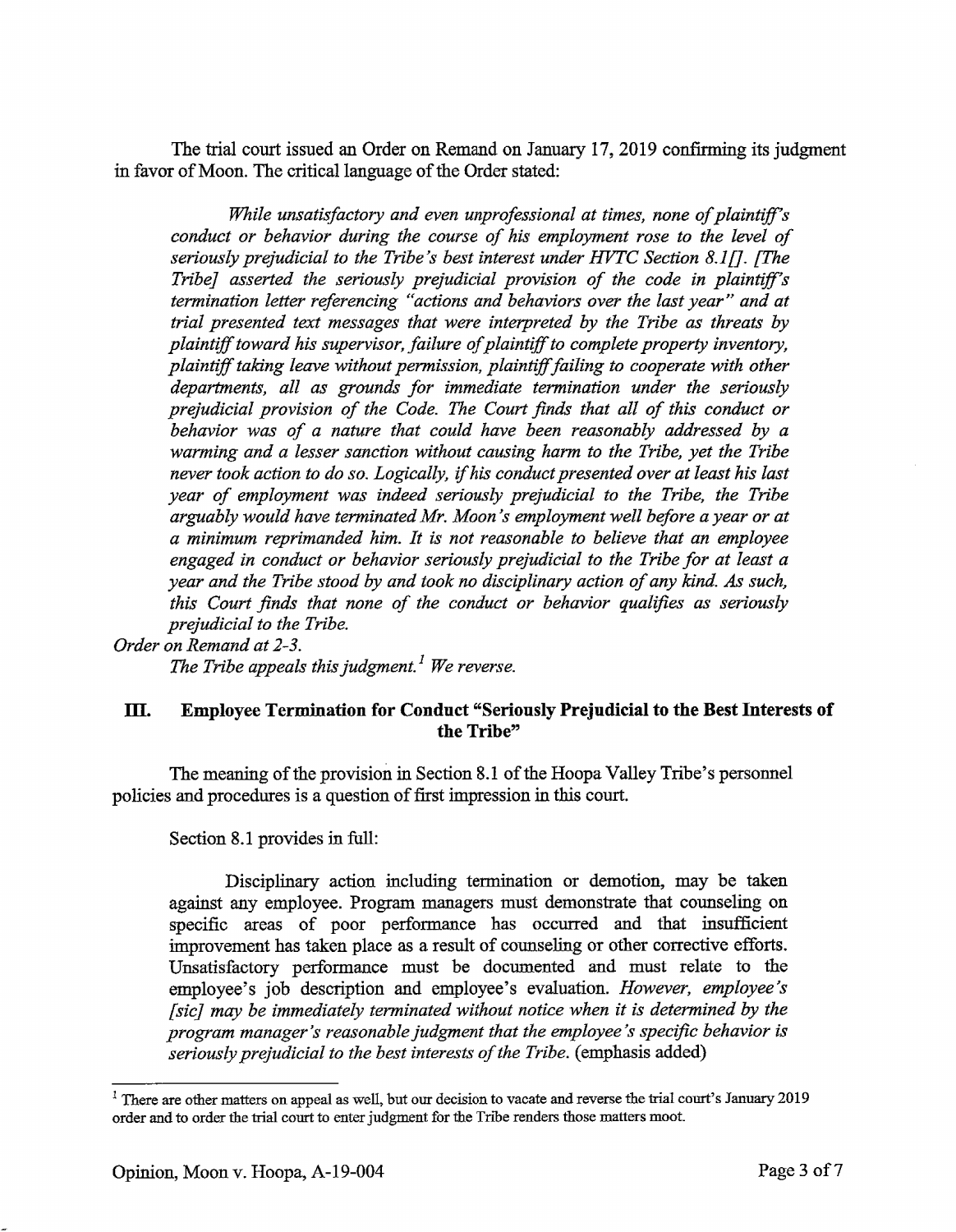The trial court issued an Order on Remand on January 17, 2019 confirming its judgment in favor of Moon. The critical language of the Order stated:

*While unsatisfactory and even unprofessional at times, none of plaintiff's conduct or behavior during the course of his employment rose to the level of seriously prejudicial to the Tribe's best interest under HVTC Section 8.1[]. [The Tribe] asserted the seriously prejudicial provision of the code in plaintiff's termination letter referencing "actions and behaviors over the last year" and at trial presented text messages that were interpreted by the Tribe as threats by plaintiff toward his supervisor, failure of plaintiff to complete property inventory, plaintiff taking leave without permission, plaintiff failing to cooperate with other departments, all as grounds for immediate termination under the seriously prejudicial provision of the Code. The Court finds that all of this conduct or behavior was of a nature that could have been reasonably addressed by a warming and a lesser sanction without causing harm to the Tribe, yet the Tribe never took action to do so. Logically, if hi.s conduct presented over at least his last year of employment was indeed seriously prejudicial to the Tribe, the Tribe arguably would have terminated Mr. Moon's employment well before a year or at a minimum reprimanded him. It is not reasonable to believe that an employee engaged in conduct or behavior seriously prejudicial to the Tribe for at least a year and the Tribe stood by and took no disciplinary action of any kind. As such, this Court finds that none of the conduct or behavior qualifies as seriously prejudicial to the Tribe.* 

## *Order on Remand at 2-3.*

*The Tribe appeals this judgment. 1 We reverse.* 

# **m. Employee Termination for Conduct "Seriously Prejudicial to the Best Interests of the Tribe"**

The meaning of the provision in Section 8.1 of the Hoopa Valley Tribe's personnel policies and procedures is a question of first impression in this court.

Section 8.1 provides in full:

Disciplinary action including termination or demotion, may be taken against any employee. Program managers must demonstrate that counseling on specific areas of poor performance has occurred and that insufficient improvement has taken place as a result of counseling or other corrective efforts. Unsatisfactory performance must be documented and must relate to the employee's job description and employee's evaluation. *However, employee's [sic] may be immediately terminated without notice when it is determined by the program manager's reasonable judgment that the employee's specific behavior is seriously prejudicial to the best interests of the Tribe.* (emphasis added)

<sup>&</sup>lt;sup>1</sup> There are other matters on appeal as well, but our decision to vacate and reverse the trial court's January 2019 order and to order the trial court to enter judgment for the Tribe renders those matters moot.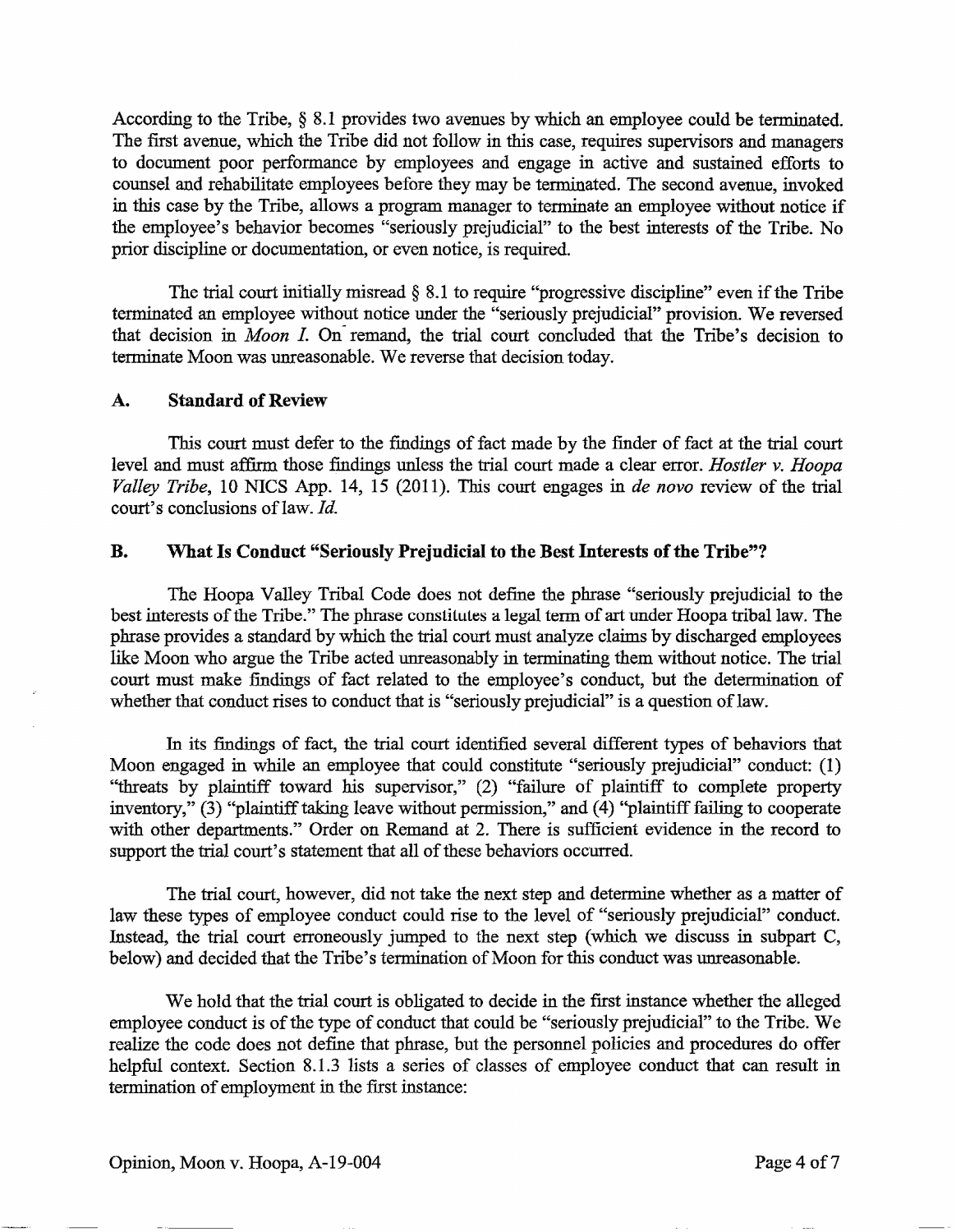According to the Tribe, § 8.1 provides two avenues by which an employee could be terminated. The first avenue, which the Tribe did not follow in this case, requires supervisors and managers to document poor performance by employees and engage in active and sustained efforts to counsel and rehabilitate employees before they may be terminated. The second avenue, invoked in this case by the Tribe, allows a program manager to terminate an employee without notice if the employee's behavior becomes "seriously prejudicial" to the best interests of the Tribe. No prior discipline or documentation, or even notice, is required.

The trial court initially misread  $\S$  8.1 to require "progressive discipline" even if the Tribe terminated an employee without notice under the "seriously prejudicial" provision. We reversed that decision in *Moon I*. On remand, the trial court concluded that the Tribe's decision to terminate Moon was unreasonable. We reverse that decision today.

# **A. Standard of Review**

This court must defer to the findings of fact made by the finder of fact at the trial court level and must affirm those findings unless the trial court made a clear error. *Hostler v. Hoopa Valley Tribe, 10 NICS App. 14, 15 (2011). This court engages in <i>de novo* review of the trial court's conclusions of law. Id.

# **B. \Vhat Is Conduct "Seriously Prejudicial to the Best Interests of the Tribe"?**

The Hoopa Valley Tribal Code does not define the phrase "seriously prejudicial to the best interests of the Tribe." The phrase constitutes a legal term of art under Hoopa tribal law. The phrase provides a standard by which the trial court must analyze claims by discharged employees like Moon who argue the Tribe acted unreasonably in terminating them without notice. The trial court must make findings of fact related to the employee's conduct, but the determination of whether that conduct rises to conduct that is "seriously prejudicial" is a question of law.

In its findings of fact, the trial court identified several different types of behaviors that Moon engaged in while an employee that could constitute "seriously prejudicial" conduct: (1) ''threats by plaintiff toward his supervisor," (2) "failure of plaintiff to complete property inventory," (3) "plaintiff taking leave without permission," and (4) ''plaintiff failing to cooperate with other departments." Order on Remand at 2. There is sufficient evidence in the record to support the trial court's statement that all of these behaviors occurred.

The trial court, however, did not take the next step and determine whether as a matter of law these types of employee conduct could rise to the level of "seriously prejudicial" conduct. Instead, the trial court erroneously jumped to the next step (which we discuss in subpart C, below) and decided that the Tribe's termination of Moon for this conduct was unreasonable.

We hold that the trial court is obligated to decide in the first instance whether the alleged employee conduct is of the type of conduct that could be "seriously prejudicial" to the Tribe. We realize the code does not define that phrase, but the personnel policies and procedures do offer helpful context. Section 8.1.3 lists a series of classes of employee conduct that can result in termination of employment in the first instance: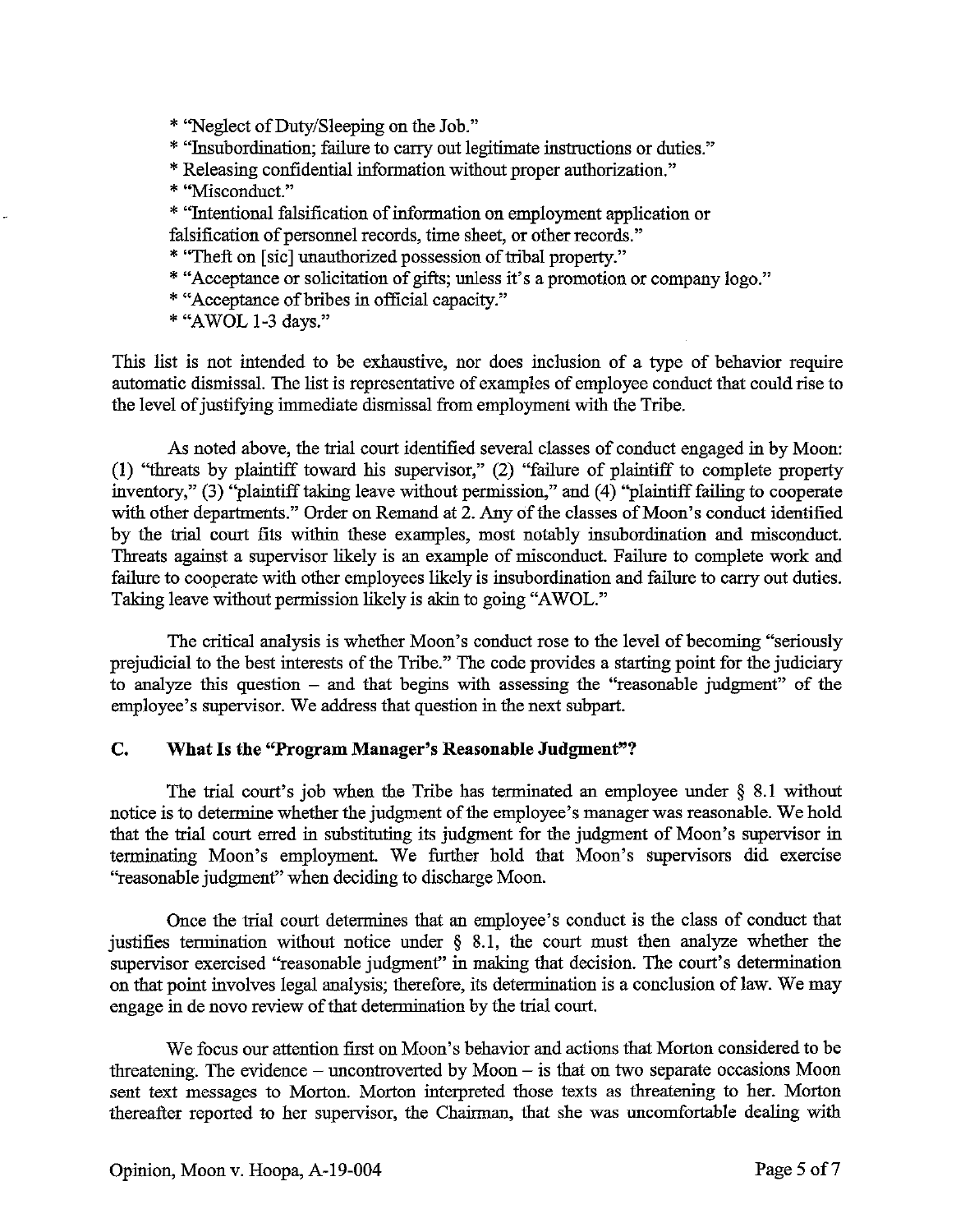\* ''Neglect of Duty/Sleeping on the Job."

- \* "Insubordination; failure to carry out legitimate instructions or duties."
- \* Releasing confidential information without proper authorization."
- \* "Misconduct."
- \* "Intentional falsification of information on employment application or falsification of personnel records, time sheet, or other records."
- \* "Theft on [sic] unauthorized possession of tribal property."
- \* "Acceptance or solicitation of gifts; unless it's a promotion or company logo."
- \* "Acceptance ofbribes in official capacity."
- \* "AWOL 1-3 days."

This list is not intended to be exhaustive, nor does inclusion of a type of behavior require automatic dismissal. The list is representative of examples of employee conduct that could rise to the level of justifying immediate dismissal from employment with the Tribe.

As noted above, the trial court identified several classes of conduct engaged in by Moon: (1) "threats by plaintiff toward his supervisor," (2) "failure of plaintiff to complete property inventory," (3) "plaintiff taking leave without permission," and (4) "plaintiff failing to cooperate with other departments." Order on Remand at 2. Any of the classes of Moon's conduct identified by the trial court fits within these examples, most notably insubordination and misconduct. Threats against a supervisor likely is an example of misconduct. Failure to complete work and failure to cooperate with other employees likely is insubordination and failure to carry out duties. Taking leave without permission likely is akin to going "AWOL."

The critical analysis is whether Moon's conduct rose to the level of becoming "seriously prejudicial to the best interests of the Tribe." The code provides a starting point for the judiciary to analyze this question - and that begins with assessing the "reasonable judgment" of the employee's supervisor. We address that question in the next subpart.

### **C. What Is the "Program Manager's Reasonable Judgment"?**

The trial court's job when the Tribe has terminated an employee under § 8.1 without notice is to determine whether the judgment of the employee's manager was reasonable. We hold that the trial court erred in substituting its judgment for the judgment of Moon's supervisor in terminating Moon's employment. We further hold that Moon's supervisors did exercise "reasonable judgment" when deciding to discharge Moon.

Once the trial court determines that an employee's conduct is the class of conduct that justifies termination without notice under  $\S$  8.1, the court must then analyze whether the supervisor exercised "reasonable judgment" in making that decision. The court's determination on that point involves legal analysis; therefore, its determination is a conclusion of law. We may engage in de novo review of that determination by the trial court.

We focus our attention first on Moon's behavior and actions that Morton considered to be threatening. The evidence – uncontroverted by Moon – is that on two separate occasions Moon sent text messages to Morton. Morton interpreted those texts as threatening to her. Morton thereafter reported to her supervisor, the Chairman, that she was uncomfortable dealing with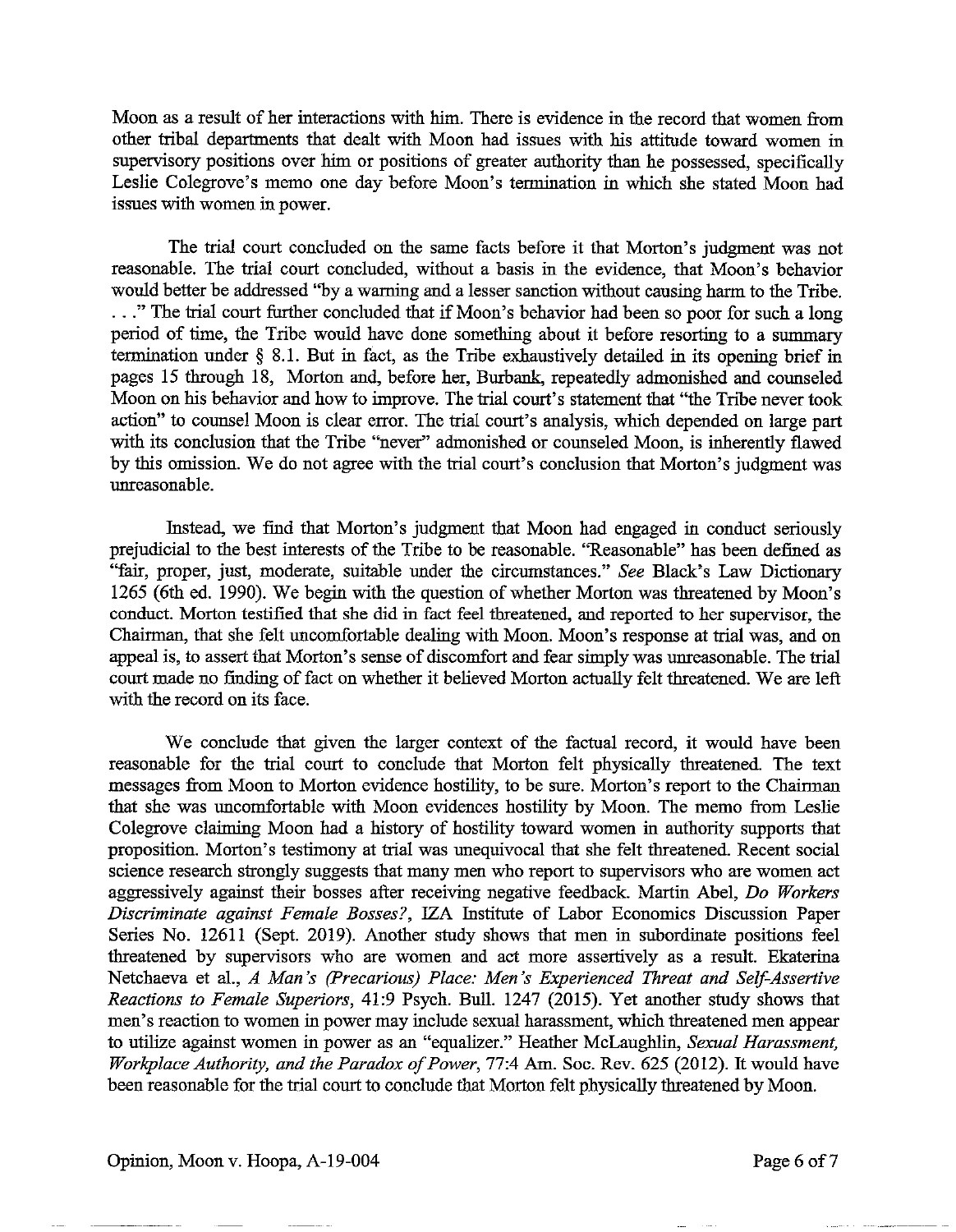Moon as a result of her interactions with him. There is evidence in the record that women from other tribal departments that dealt with Moon had issues with his attitude toward women in supervisory positions over him or positions of greater authority than he possessed, specifically Leslie Colegrove's memo one day before Moon's termination in which she stated Moon had issues with women in power.

The trial court concluded on the same facts before it that Morton's judgment was not reasonable. The trial court concluded, without a basis in the evidence, that Moon's behavior would better be addressed "by a warning and a lesser sanction without causing harm to the Tribe . . . . " The trial court further concluded that if Moon's behavior had been so poor for such a long period of time, the Tribe would have done something about it before resorting to a summary termination under § 8.1. But in fact, as the Tnbe exhaustively detailed in its opening brief in pages 15 through 18, Morton and, before her, Burbank, repeatedly admonished and counseled Moon on his behavior and how to improve. The trial court's statement that "the Tribe never took action" to counsel Moon is clear error. The trial court's analysis, which depended on large part with its conclusion that the Tribe "never" admonished or counseled Moon, is inherently flawed by this omission. We do not agree with the trial court's conclusion that Morton's judgment was unreasonable.

Instead, we find that Morton's judgment that Moon had engaged in conduct seriously prejudicial to the best interests of the Tribe to be reasonable. "Reasonable" has been defined as ''fair, proper, just, moderate, suitable under the circumstances." *See* Black's Law Dictionary 1265 (6th ed. 1990). We begin with the question of whether Morton was threatened by Moon's conduct. Morton testified that she did in fact feel threatened, and reported to her supervisor, the Chairman, that she felt uncomfortable dealing with Moon. Moon's response at trial was, and on appeal is, to assert that Morton's sense of discomfort and fear simply was unreasonable. The trial court made no finding of fact on whether it believed Morton actually felt threatened. We are left with the record on its face.

We conclude that given the larger context of the factual record, it would have been reasonable for the trial court to conclude that Morton felt physically threatened. The text messages from Moon to Morton evidence hostility, to be sure. Morton's report to the Chairman that she was uncomfortable with Moon evidences hostility by Moon. The memo from Leslie Colegrove claiming Moon had a history of hostility toward women in authority supports that proposition. Morton's testimony at trial was unequivocal that she felt threatened. Recent social science research strongly suggests that many men who report to supervisors who are women act aggressively against their bosses after receiving negative feedback. Martin Abel, *Do Workers Discriminate against Female Bosses?,* IZA Institute of Labor Economics Discussion Paper Series No. 12611 (Sept. 2019). Another study shows that men in subordinate positions feel threatened by supervisors who are women and act more assertively as a result. Ekaterina Netchaeva et al., *A Man's (Precarious) Place: Men's Experienced Threat and Self-Assertive Reactions to Female Superiors,* 41:9 Psych. Bull. 1247 (2015). Yet another study shows that men's reaction to women in power may include sexual harassment, which threatened men appear to utilize against women in power as an "equalizer." Heather McLaughlin, *Sexual Harassment, Workplace Authority, and the Paradox of Power,* 77:4 Am. Soc. Rev. 625 (2012). It would have been reasonable for the trial court to conclude that Morton felt physically threatened by Moon.